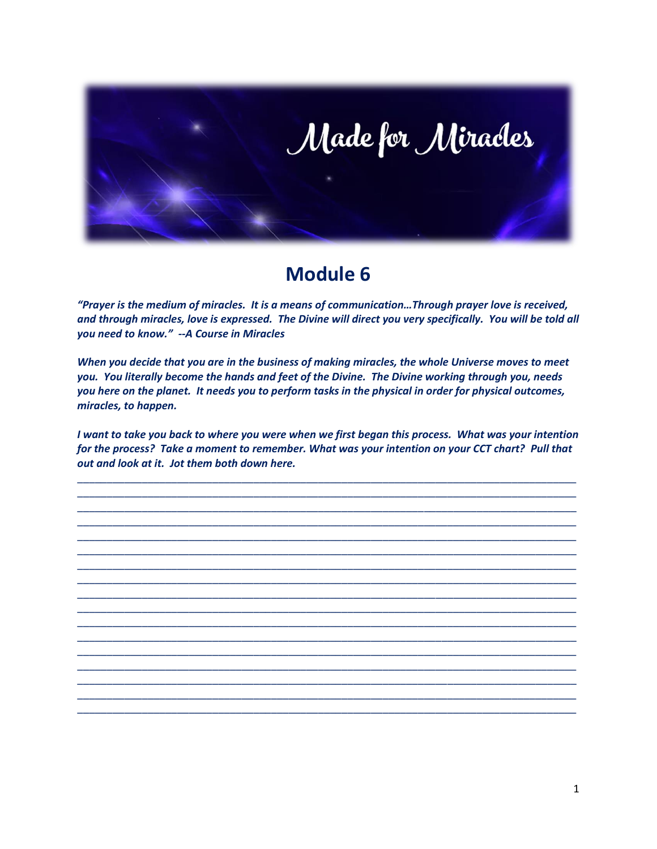

# **Module 6**

*"Prayer is the medium of miracles. It is a means of communication…Through prayer love is received, and through miracles, love is expressed. The Divine will direct you very specifically. You will be told all you need to know." --A Course in Miracles*

*When you decide that you are in the business of making miracles, the whole Universe moves to meet you. You literally become the hands and feet of the Divine. The Divine working through you, needs you here on the planet. It needs you to perform tasks in the physical in order for physical outcomes, miracles, to happen.*

*I want to take you back to where you were when we first began this process. What was your intention for the process? Take a moment to remember. What was your intention on your CCT chart? Pull that out and look at it. Jot them both down here.*

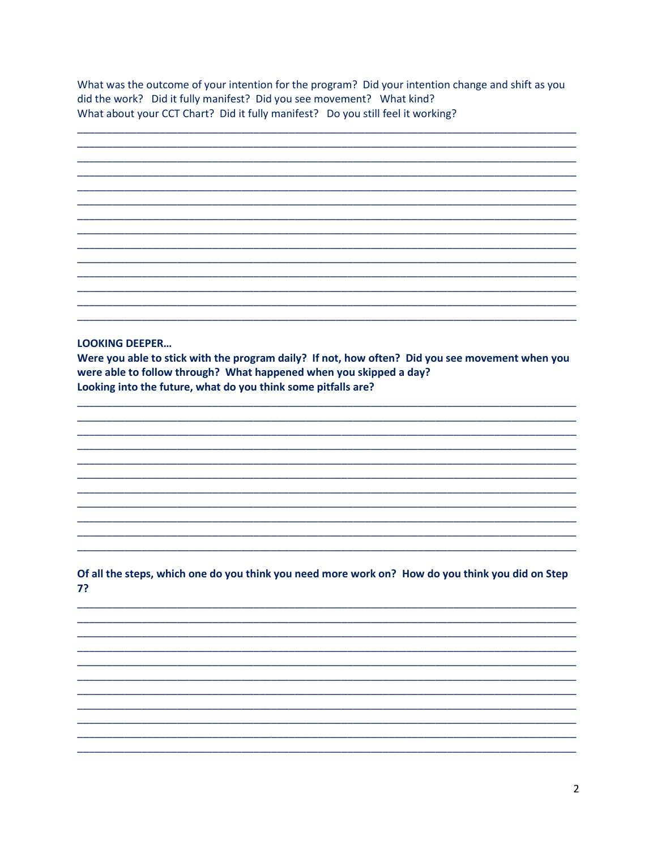What was the outcome of your intention for the program? Did your intention change and shift as you did the work? Did it fully manifest? Did you see movement? What kind? What about your CCT Chart? Did it fully manifest? Do you still feel it working?

|  |  | -     |
|--|--|-------|
|  |  |       |
|  |  | -     |
|  |  |       |
|  |  |       |
|  |  |       |
|  |  |       |
|  |  |       |
|  |  |       |
|  |  |       |
|  |  |       |
|  |  | _____ |
|  |  |       |
|  |  |       |
|  |  |       |
|  |  |       |
|  |  |       |
|  |  |       |
|  |  |       |
|  |  |       |
|  |  |       |
|  |  |       |
|  |  |       |
|  |  |       |
|  |  |       |
|  |  |       |
|  |  |       |
|  |  |       |

### **LOOKING DEEPER...**

Were you able to stick with the program daily? If not, how often? Did you see movement when you were able to follow through? What happened when you skipped a day? Looking into the future, what do you think some pitfalls are?

## Of all the steps, which one do you think you need more work on? How do you think you did on Step 7?